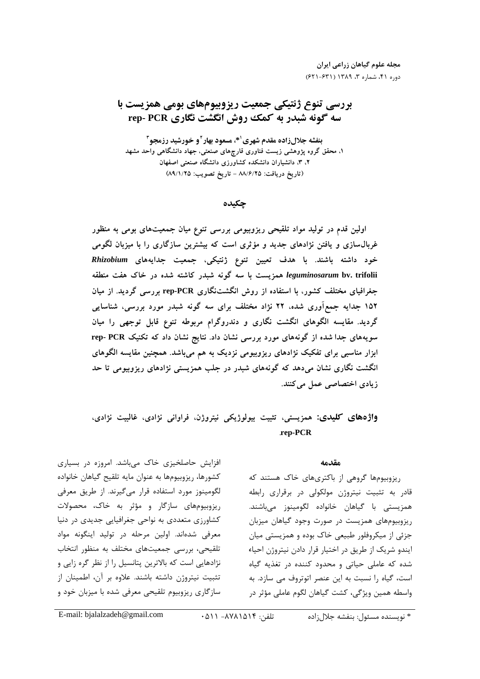# بررسی تنوع ژنتیکی جمعیت ریزوبیومهای بومی همزیست با سه گونه شبدر به کمک روش انگشت نگاری rep- PCR

بنفشه جلال زاده مقدم شهري '\*، مسعود بهار ' و خورشید رزمجو " ۱. محقق گروه پژوهشی زیست فناوری قارچهای صنعتی، جهاد دانشگاهی واحد مشهد ۲، ۳، دانشیاران دانشکده کشاورزی دانشگاه صنعتی اصفهان (تاريخ دريافت: ٨٨/٦/٢٥ - تاريخ تصويب: ٨٩/١/٢٥)

## چکىدە

اولین قدم در تولید مواد تلقیحی ریزوبیومی بررسی تنوع میان جمعیتهای بومی به منظور غربال $u$ ازی و یافتن نژادهای جدید و مؤثری است که بیشترین سازگاری را با میزبان لگومی خود داشته باشند. با هدف تعیین تنوع ژنتیکی، جمعیت جدایههای Rhizobium leguminosarum bv. trifolii همزیست با سه گونه شبدر کاشته شده در خاک هفت منطقه جغرافیای مختلف کشور، با استفاده از روش انگشتنگاری rep-PCR بررسی گردید. از میان ۱۵۲ جدایه جمعآوری شده، ۲۲ نژاد مختلف برای سه گونه شبدر مورد بررسی، شناسایی گردید. مقایسه الگوهای انگشت نگاری و دندروگرام مربوطه تنوع قابل توجهی را میان سویههای جدا شده از گونههای مورد بررسی نشان داد. نتایج نشان داد که تکنیک rep- PCR ابزار مناسبی برای تفکیک نژادهای ریزوبیومی نزدیک به هم میباشد. همچنین مقایسه الگوهای انگشت نگاری نشان میدهد که گونههای شبدر در جلب همزیستی نژادهای ریزوبیومی تا حد زیادی اختصاصی عمل میکنند.

# واژههای کلیدی: همزیستی، تثبیت بیولوژیکی نیتروژن، فراوانی نژادی، غالبیت نژادی، rep-PCR

#### مقدمه

ریزوبیومها گروهی از باکتریهای خاک هستند که قادر به تثبیت نیتروژن مولکولی در برقراری رابطه همزيستي با گياهان خانواده لگومينوز ميباشند. ریزوبیومهای همزیست در صورت وجود گیاهان میزبان جزئي از ميكروفلور طبيعي خاك بوده و همزيستي ميان ایندو شریک از طریق در اختیار قرار دادن نیتروژن احیاء شده که عاملی حیاتی و محدود کننده در تغذیه گیاه است، گیاه را نسبت به این عنصر اتوتروف می سازد. به واسطه همین ویژگی، کشت گیاهان لگوم عاملی مؤثر در

افزایش حاصلخیزی خاک می باشد. امروزه در بسیاری كشورها، ريزوبيومها به عنوان مايه تلقيح گياهان خانواده لگومینوز مورد استفاده قرار می گیرند. از طریق معرفی ریزوبیومهای سازگار و مؤثر به خاک، محصولات کشاورزی متعددی به نواحی جغرافیایی جدیدی در دنیا معرفی شدهاند. اولین مرحله در تولید اینگونه مواد تلقیحی، بررسی جمعیتهای مختلف به منظور انتخاب نژادهایی است که بالاترین پتانسیل را از نظر گره زایی و تثبيت نيتروژن داشته باشند. علاوه بر آن، اطمينان از سازگاری ریزوبیوم تلقیحی معرفی شده با میزبان خود و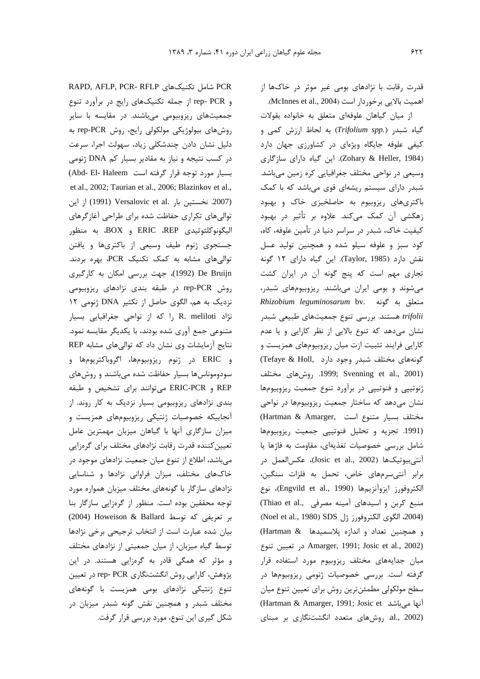قدرت رقابت با نژادهای بوم*ی غ*یر موثر در خاکها از اهميت بالايي برخوردار است (McInnes et al., 2004).

ا: میان گیاهان علوفهای متعلق به خانواده بقولات .<br>ن  $\epsilon$  عیاه شبدر (*Trifolium spp*.) به لحاظ ارزش کمی و کیفه علوفه حایگاه ویژهای در کشاورزی جهان دارد (Zohary & Heller, 1984). این گیاه دارای سازگاری .<br>وسیعے در نواجے مختلف جغرافیایی کرہ زمین مےباشد. .<br>د شید. دارای سیستم ریشهای قوی م*ی*اباشد که با کمک .<br>پاکتری های ریزوییوم به حاصلخیزی خاک و بهبود .<br>زهکشی آن کمک مرکند. علاوه بر تأثیر در بهبود كيفيت خاک، شيد, در سراسر دنيا در تأمين علوفه، کاه، .<br>كود سن و علوفه سيلو شده و همچنين توليد عسل نقش دارد (Taylor, 1985). این گیاه دارای ۱۲ گونه .<br>تحاری مهم است که پنج گونه آن در ایران کشت م شوند و پومل ایران میباشند. ریزویپوههای شیدر، متعلق به گونه .*Rhizobium leguminosarum* bv .<br>*trifolii ه*ستند. ب<sub>ر د</sub>سی تنوع جمعیتهای طبیعی شبدر .<br>نشان مے دھد که تنوع بالایے از نظر کارایے و یا عدم کارایی فرایند تثبیت ازت میان ریزویپوههای همزیست و گونههای مختلف شبدر وجود دارد ,Tefaye & Holl) روشهای مختلف .1999; Svenning et al., 2001) .<br>توتيب و فنوتيب در برآورد تنوع جمعت ريزوسومها .<br>ذ .<br>نشان مے دھد که ساختار جمعیت ریزویبومھا در نوا*جی* .<br>د مختلف بسيار متنوع است ,Hartman & Amarger) .<br>(1991. تجزيه و تحليل فنوتييي جمعيت ريزوبيومها .<br>شامل بررسی خصوصیات تغذیهای، مقاومت به فاژها با .<br>آنتي بيوتيکها (Josic et al., 2002)، عکس|لعمل در .<br>داد آنترسوهای خاص، تحمل به فلزات سنگین، الكتروفورز ايزوآنزيمها (Engvild et al., 1990)، نوع .<br>ن (Thiao et al., منبع کربن و اسیدهای آمینه مصرفی (2004، الكَوى الكتروفورز ژل SDS) SDS (Noel et al., 1980) و همچنین تعداد و اندازه پلاسمیدها & Hartman) j- > # Amarger, 1991; Josic et al., 2002) میان حدایههای مختلف ریزوسوم مورد استفاده قرار گ فته است. پرسی خصوصیات ژنومی ربزوییوهها در .<br>ذ سطح مولکولی مطمئن ترین روش برای تعیین تنوع میان iز<br>آنها می باشد Hartman & Amarger, 1991; Josic et al., 2002). دوشهای متعدد انگشتنگاری بر مبنای

RAPD, AFLP, PCR- RFLP شامل تكنيكهاى RAPD, AFLP, PCR-و rep- PCR از جمله تکنیکهای رایج در برآورد تنوع حمعیتهای رنوییومی میاشند. در مقایسه با سایر روشهای بیولوژیکی مولکولی رایج، روش rep-PCR به دلیل نشان دادن جندشکلی : باد، سهولت اجرا، سرعت در کسب نتیجه و نیاز به مقادیر بسیار کم DNA ژنومی .<br>ذ .<br>بسيار مورد توجه قرار گرفته است Abd- El- Haleem) .et al., 2002; Taurian et al., 2006; Blazinkov et al., (2007. نخستين بار .Versalovic et al از اين .<br>توالي هاي تکيلي حفاظت شده براي طراحي آغازگرهاي اليگونوكلئوتيدى ERIC ،REP و BOX، به منظور .<br>د حستجوی ژنوم طبف وسیعی از پاکتری ها و پافتن .<br>ذ .<br>توالی های مشابه به کمک تکنیک PCR، بهره بردند. De Bruijn (1992)، جهت بررسی امکان به کارگیری .<br>روش rep-PCR در طبقه بندی نژادهای ریزوبیومی .<br>نزدیک به هم، الگوی حاصل از تکثیر DNA ژنومی ۱۲ ; .<br>نژاد R. meliloti را که از نواحی جغرافیایی بسیار .<br>ذ متنوعي جمع آوري شده بودند، با يكديگر مقايسه نمود. .<br>نتایج آزمایشات وی نشان داد که توال<sub>ی</sub>های مشابه REP و ERIC در ژنوم ريزوبيومها، اگروباكتريومها و .<br>د سودوموناس ها بسيار حفاظت شده مي باشند و روش هاي REP و ERIC-PCR می توانند برای تشخیص و طبقه بندی نژادهای ریزویبومل بسیار نزدیک به کار روند. از .<br>آنجاییکه خصوصیات ژنتیکی رنویپوههای همزیست و میزان سازگاری آنها یا گیاهان میزبان مهمترین عامل تعیین کننده قدرت رقابت نژادهای مختلف برای گرهزایی مے باشد، اطلاع از تنوع میان جمعیت نژادهای موجود در .<br>خاکهای مختلف، میزان فراوانی نژادها و شناسایی .<br>نژادهای سازگار با گونههای مختلف میزبان همواره مورد ۔<br>توجه محققین بوده است. منظور از گروزایی سازگار بنا بر تعریفی که توسط Ballard (2004) Howeison & Ballard سان شده عبارت است از انتخاب ترجیحی برخی نژادها ۔<br>توسط گیاہ میزبان، از میان جمعیتی از نژادهای مختلف و مؤثر که همگی قادر به گرهزایی هستند. در این یژوهش، کارایی روش انگشتنگاری rep- PCR در تعیین ۔<br>تنوع ژنتیکی نژادهای بومی همزیست با گونههای .<br>مختلف شیدر و همچنین نقش گونه شیدر میزبان در .<br>شکل گیری این تنوع، مورد بررسی قرار گرفت.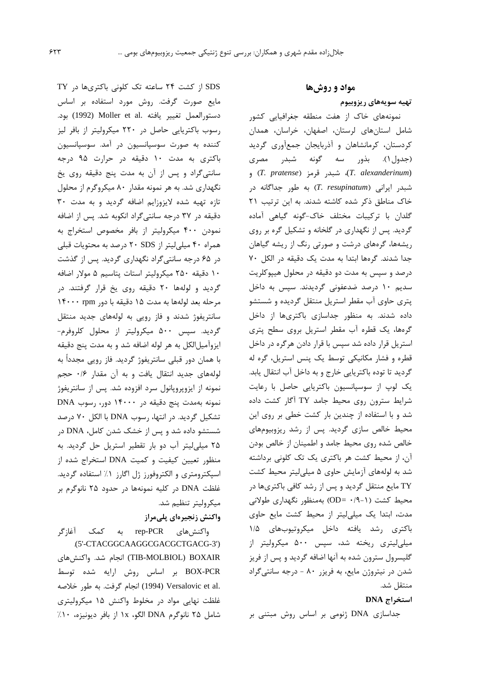مواد و روشها تهیه سویههای ریزوبیوم نمونههای خاک از هفت منطقه جغرافیایی کشور شامل استانهای لرستان، اصفهان، خراسان، همدان کردستان، کرمانشاهان و آذربایجان جمعآوری گردید (جدول ۱). بذور سه گونه شبدر مصری (T. alexanderinum)، شبد, قرمز (T. pratense) و شبدر ایرانی (T. resupinatum) به طور جداگانه در خاک مناطق ذکر شده کاشته شدند. به این ترتیب ٢١ گلدان با ترکیبات مختلف خاک-گونه گیاهی آماده گردید. پس از نگهداری در گلخانه و تشکیل گره بر روی ریشهها، گرههای درشت و صورتی رنگ از ریشه گیاهان جدا شدند. گرمها ابتدا به مدت یک دقیقه در الکل ۷۰ درصد و سپس به مدت دو دقیقه در محلول هیپوکلریت سدیم ۱۰ درصد ضدعفونی گردیدند. سپس به داخل پتری حاوی آب مقطر استریل منتقل گردیده و شستشو داده شدند. به منظور جداسازی باکتریها از داخل گرهها، یک قطره آب مقطر استریل بروی سطح پتری استریل قرار داده شد سپس با قرار دادن هرگره در داخل قطره و فشار مكانيكى توسط يك پنس استريل، گره له گردید تا توده باکتریایی خارج و به داخل آب انتقال یابد. یک لوپ از سوسپانسیون باکتریایی حاصل با رعایت شرایط سترون روی محیط جامد TY آگار کشت داده شد و با استفاده از چندین بار کشت خطی بر روی این محیط خالص سازی گردید. پس از رشد ریزوبیومهای خالص شده روی محیط جامد و اطمینان از خالص بودن آن، از محیط کشت هر باکتری یک تک کلونی برداشته شد به لولههای آزمایش حاوی ۵ میلی لیتر محیط کشت TY مایع منتقل گردید و پس از رشد کافی باکتریها در محیط کشت (۱-۹/۰ =OD) بهمنظور نگهداری طولانی مدت، ابتدا یک میلی لیتر از محیط کشت مایع حاوی باكترى رشد يافته داخل ميكروتيوبهاى ١/٥

میلی لیتری ریخته شد، سپس ۵۰۰ میکرولیتر از گلیسرول سترون شده به آنها اضافه گردید و پس از فریز شدن در نیتروژن مایع، به فریزر ۸۰ - درجه سانتیگراد منتقل شد.

#### استخراج DNA

جداسازی DNA ژنومی بر اساس روش مبتنی بر

SDS از کشت ۲۴ ساعته تک کلونی باکتریها در TY مايع صورت گرفت. روش مورد استفاده بر اساس دستورالعمل تغيير يافته .Moller et al (1992) بود. رسوب باكتريايي حاصل در ٢٢٠ ميكروليتر از بافر ليز کننده به صورت سوسپانسیون در آمد. سوسپانسیون باکتری به مدت ۱۰ دقیقه در حرارت ۹۵ درجه سانتی گراد و پس از آن به مدت پنج دقیقه روی یخ نگهداری شد. به هر نمونه مقدار ۸۰ میکروگرم از محلول تازه تهيه شده لايزوزايم اضافه گرديد و به مدت ٣٠ دقیقه در ۳۷ درجه سانتی گراد انکوبه شد. پس از اضافه نمودن ۴۰۰ میکرولیتر از بافر مخصوص استخراج به همراه ۴۰ میلی لیتر از ۲۰ SDS درصد به محتویات قبلی در ۶۵ درجه سانتیگراد نگهداری گردید. پس از گذشت ١٠ دقيقه ٢٥٠ ميكروليتر استات پتاسيم ۵ مولار اضافه گردید و لولهها ۲۰ دقیقه روی یخ قرار گرفتند. در مرحله بعد لولهها به مدت ۱۵ دقیقه با دور ۱۴۰۰۰ rpm سانتریفوژ شدند و فاز رویی به لولههای جدید منتقل گردید. سپس ۵۰۰ میکرولیتر از محلول کلروفرم-ايزوآميلالكل به هر لوله اضافه شد و به مدت پنج دقيقه با همان دور قبلی سانتریفوژ گردید. فاز رویی مجدداً به لولههای جدید انتقال یافت و به آن مقدار ۰/۶ حجم نمونه از ایزوپروپانول سرد افزوده شد. پس از سانتریفوژ نمونه بهمدت پنج دقیقه در ۱۴۰۰۰ دور، رسوب DNA تشکیل گردید. در انتها، رسوب DNA با الکل ۷۰ درصد شستشو داده شد و پس از خشک شدن کامل، DNA در ۲۵ میلی لیتر آب دو بار تقطیر استریل حل گردید. به منظور تعیین کیفیت و کمیت DNA استخراج شده از اسیکترومتری و الکتروفورز ژل اگارز ۱٪ استفاده گردید. غلظت DNA در کلیه نمونهها در حدود ۲۵ نانوگرم بر میکرولیتر تنظیم شد.

### واكنش زنجيرهاي پلىمراز

واكنشهاي rep-PCR به كمك آغازگر .(5'-CTACGGCAAGGCGACGCTGACG-3') TIB-MOLBIOL) BOXAIR) انجام شد. واكنشهای BOX-PCR بر اساس روش ارايه شده توسط .Versalovic et al (1994) انجام گرفت. به طور خلاصه غلظت نهایی مواد در مخلوط واکنش ۱۵ میکرولیتری شامل ٢۵ نانوگرم DNA الگو، ١x از بافر ديونيزه، ١٠٪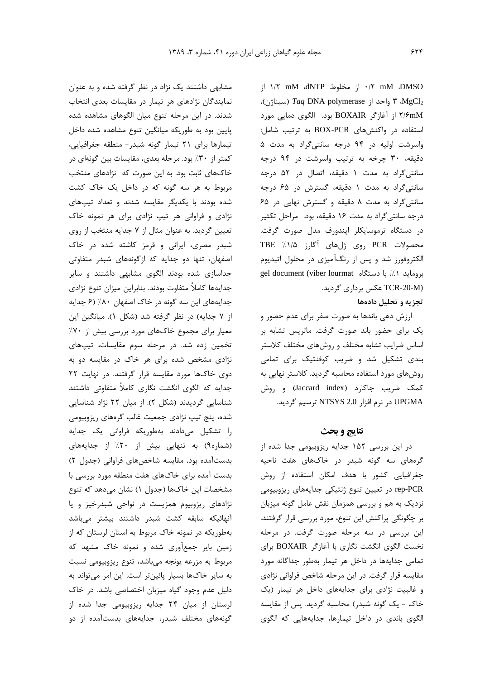j'  $1/7$  mM dNTP أز مخلوط (I M DMSO MgCl<sub>2</sub> ۳ واحد از *Taq* DNA polymerase (سيناژن)، ۲/۶mM از آغازگر BOXAIR بود. الگوی دمایی مورد استفاده در واكنش هاى BOX-PCR به ترتيب شامل: واسرشت اولیه در ۹۴ درجه سانتیگراد به مدت ۵ دقیقه، ۳۰ چرخه به ترتیب واسرشت در ۹۴ درجه سانتی گراد به مدت ۱ دقیقه، اتصال در ۵۲ درجه سانتی گراد به مدت ۱ دقیقه، گسترش در ۶۵ درجه سانتی گراد به مدت ٨ دقیقه و گسترش نهایی در ۶۵ درجه سانتی گراد به مدت ۱۶ دقیقه، بود. مراحل تکثیر در دستگاه ترموسایکلر اپندورف مدل صورت گرفت. محصولات PCR روى ژلهاى آگارز ه/١/. TBE الکتروفورز شد و پس از رنگآمیزی در محلول اتیدیوم gel document (viber lourmat مستگاه اgel document (viber lourmat (TCR-20-M عکس برداری گردید.

# تجزیه و تحلیل دادهها

ارزش دهی باندها به صورت صفر برای عدم حضور و یک برای حضور باند صورت گرفت. ماتریس تشابه بر اساس ضرایب تشابه مختلف و روشهای مختلف کلاستر بندی تشکیل شد و ضریب کوفنتیک برای تمامی روشهای مورد استفاده محاسبه گردید. کلاستر نهایی به کمک ضریب جاکارد (Jaccard index) و روش UPGMA در نرم افزار NTSYS 2.0 ترسيم گرديد.

### نتايج و بحث

در این بررسی ۱۵۲ جدایه ریزوبیومی جدا شده از گرههای سه گونه شبدر در خاکهای هفت ناحیه جغرافیایی کشور با هدف امکان استفاده از روش rep-PCR در تعیین تنوع ژنتیکی جدایههای ریزوبیومی نزدیک به هم و بررسی همزمان نقش عامل گونه میزبان بر چگونگی پراکنش این تنوع، مورد بررسی قرار گرفتند. این بررسی در سه مرحله صورت گرفت. در مرحله نخست الكوى انكشت نگارى با آغازكر BOXAIR براى تمامی جدایهها در داخل هر تیمار بهطور جداگانه مورد مقایسه قرار گرفت. در این مرحله شاخص فراوانی نژادی و غالبیت نژادی برای جدایههای داخل هر تیمار (یک خاک - یک گونه شبدر) محاسبه گردید. پس از مقایسه الگوی باندی در داخل تیمارها، جدایههایی که الگوی

مشابهی داشتند یک نژاد در نظر گرفته شده و به عنوان نمایندگان نژادهای هر تیمار در مقایسات بعدی انتخاب شدند. در این مرحله تنوع میان الگوهای مشاهده شده پایین بود به طوریکه میانگین تنوع مشاهده شده داخل تیمارها برای ٢١ تیمار گونه شبدر- منطقه جغرافیایی، کمتر از ۳۰٪ بود. مرحله بعدی، مقایسات بین گونهای در خاکهای ثابت بود. به این صورت که نژادهای منتخب مربوط به هر سه گونه که در داخل یک خاک کشت شده بودند با یکدیگر مقایسه شدند و تعداد تیپهای نژادی و فراوانی هر تیپ نژادی برای هر نمونه خاک تعیین گردید. به عنوان مثال از ۷ جدایه منتخب از روی شبدر مصری، ایرانی و قرمز کاشته شده در خاک اصفهان، تنها دو جدایه که ازگونههای شبدر متفاوتی جداسازی شده بودند الگوی مشابهی داشتند و سایر جدايهها كاملأ متفاوت بودند. بنابراين ميزان تنوع نژادي جدایههای این سه گونه در خاک اصفهان ۸۰٪ (۶ جدایه از ٧ جدايه) در نظر گرفته شد (شكل ١). ميانگين اين معیار برای مجموع خاکهای مورد بررسی بیش از ۷۰٪ تخمین زده شد. در مرحله سوم مقایسات، تیپهای نژادی مشخص شده برای هر خاک در مقایسه دو به دوی خاکها مورد مقایسه قرار گرفتند. در نهایت ۲۲ جدایه که الگوی انگشت نگاری کاملاً متفاوتی داشتند شناسایی گردیدند (شکل ۲). از میان ۲۲ نژاد شناسایی شده، پنج تیپ نژادی جمعیت غالب گرههای ریزوبیومی را تشکیل میدادند بهطوریکه فراوانی یک جدایه (شماره۹) به تنهایی بیش از ۲۰٪ از جدایههای بدستآمده بود. مقايسه شاخصهاى فراوانى (جدول ٢) بدست آمده برای خاکهای هفت منطقه مورد بررسی با مشخصات این خاکها (جدول ۱) نشان میدهد که تنوع نژادهای ریزوبیوم همزیست در نواحی شبدرخیز و یا آنهائیکه سابقه کشت شبدر داشتند بیشتر میباشد بهطوریکه در نمونه خاک مربوط به استان لرستان که از زمین بایر جمعآوری شده و نمونه خاک مشهد که مربوط به مزرعه يونجه مىباشد، تنوع ريزوبيومى نسبت به سایر خاکها بسیار پائینتر است. این امر می تواند به دلیل عدم وجود گیاه میزبان اختصاصی باشد. در خاک لرستان از میان ۲۴ جدایه ریزوبیومی جدا شده از گونههای مختلف شبدر، جدایههای بدستآمده از دو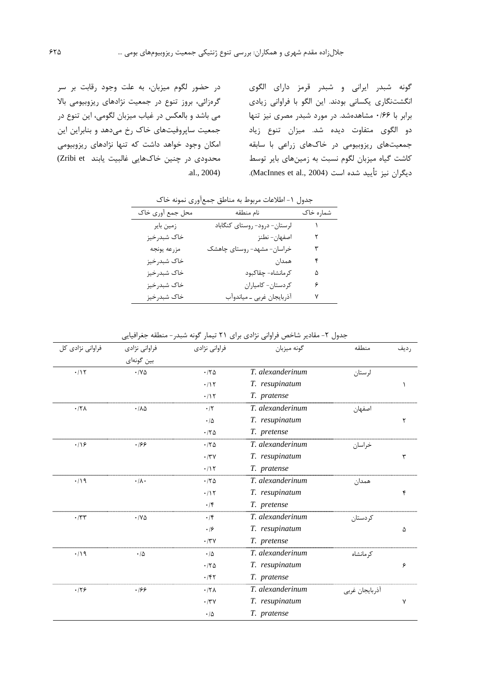گونه شبدر ایرانی و شبدر قرمز دارای الگوی انگشتنگاری یکسانی بودند. این الگو با فراوانی زیادی برابر با ۱۶۶ مشاهدهشد. در مورد شبدر مصری نیز تنها دو الگوی متفاوت دیده شد. میزان تنوع زیاد جمعیتهای ریزوبیومی در خاکهای زراعی با سابقه کاشت گیاه میزبان لگوم نسبت به زمینهای بایر توسط ديگران نيز تأييد شده است (MacInnes et al., 2004).

در حضور لگوم میزبان، به علت وجود رقابت بر سر گرهزائی، بروز تنوع در جمعیت نژادهای ریزوبیومی بالا می باشد و بالعکس در غیاب میزبان لگومی، این تنوع در جمعیت ساپروفیتهای خاک رخ میدهد و بنابراین این امکان وجود خواهد داشت که تنها نژادهای ریزوبیومی محدودي در چنين خاکهايي غالبيت يابند Zribi et)  $al., 2004)$ 

جدول ١- اطلاعات مربوط به مناطق جمع آوري نمونه خاک

| محل جمع أورى خاك | نام منطقه                    | شماره خاک |
|------------------|------------------------------|-----------|
| زمین بایر        | لرستان- درود- روستاي كنگاباد |           |
| خاک شبدرخيز      | اصفهان- نطنز                 | ٢         |
| مزرعه يونجه      | خراسان- مشهد- روستای چاهشک   | ٣         |
| خاک شبدرخيز      | همدان                        | ۴         |
| خاک شبدرخيز      | كرمانشاه- چقاكبود            | ۵         |
| خاک شبدرخيز      | كردستان- كامياران            | ۶         |
| خاک شبدرخيز      | آذربايجان غربي _ مياندوآب    | ٧         |

| فراوانی نژادی کل | فراواني نژادي<br>بین گونهای  | فراواني نژادي  | گونه ميزبان      | منطقه          | رديف |
|------------------|------------------------------|----------------|------------------|----------------|------|
| .117             | $\cdot$ / $\vee$ $\triangle$ | $\cdot$ /۲۵    | T. alexanderinum | لرستان         |      |
|                  |                              | .117           | T. resupinatum   |                |      |
|                  |                              | .117           | T. pratense      |                |      |
| $.77\lambda$     | .110                         | $\cdot$ /٢     | T. alexanderinum | اصفهان         |      |
|                  |                              | $\cdot/\Delta$ | T. resupinatum   |                | ٢    |
|                  |                              | .70            | T. pretense      |                |      |
| .19              | .199                         | .70            | T. alexanderinum | خراسان         |      |
|                  |                              | .77V           | T. resupinatum   |                | ٣    |
|                  |                              | .715           | T. pratense      |                |      |
| $\cdot/\gamma$   | $\cdot/\lambda$ .            | .170           | T. alexanderinum | همدان          |      |
|                  |                              | $\cdot/\gamma$ | T. resupinatum   |                | ۴    |
|                  |                              | $\cdot$ /۴     | T. pretense      |                |      |
| $\cdot$ /٣٣      | $\cdot$ / $\vee$ $\triangle$ | $\cdot$ /۴     | T. alexanderinum | كردستان        |      |
|                  |                              | .19            | T. resupinatum   |                | ۵    |
|                  |                              | $\cdot$ /٣٧    | T. pretense      |                |      |
| $\cdot/\gamma$   | $\cdot/\Delta$               | $\cdot/\Delta$ | T. alexanderinum | کر مانشاہ      |      |
|                  |                              | .170           | T. resupinatum   |                | ۶    |
|                  |                              | .797           | T. pratense      |                |      |
| .179             | .199                         | $.77\lambda$   | T. alexanderinum | أذربايجان غربي |      |
|                  |                              | $\cdot$ /٣٧    | T. resupinatum   |                | ٧    |
|                  |                              | $\cdot/\Delta$ | T. pratense      |                |      |

حدول ٢- مقادير شاخص فراواني نژادي براي ٢١ تيمار گونه شيدر - منطقه حغرافيايي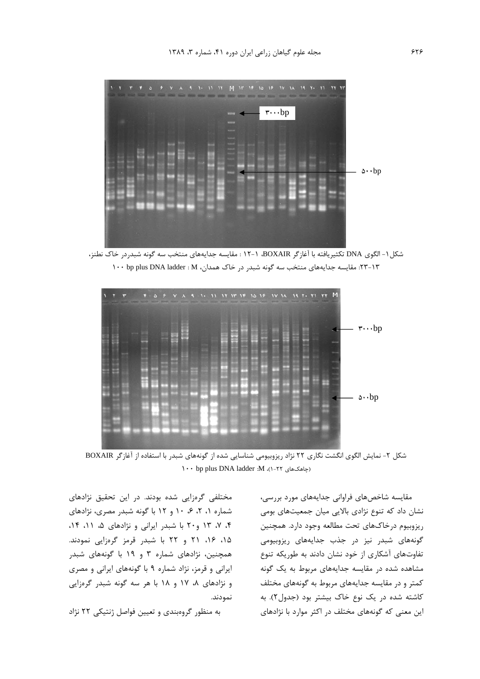

شكل ١- الگوى DNA تكثيريافته با آغازگر BOXAIR، ١-١٢ : مقايسه جدايههاى منتخب سه گونه شبدردر خاک نطنز، ۲۳-۱۳: مقایسه جدایههای منتخب سه گونه شبدر در خاک همدان، ۱۲ : ۱۰۰ bp plus DNA ladder :



شکل ۲- نمایش الگوی انگشت نگاری ۲۲ نژاد ریزوبیومی شناسایی شده از گونههای شبدر با استفاده از آغازگر BOXAIR (جاهکهای ۲۲-۱)، N: 1adder :M (-۲۲

مختلفی گرهزایی شده بودند. در این تحقیق نژادهای شماره ۰، ۲، ۶، ۱۰ و ۱۲ با گونه شبدر مصری، نژادهای ۴، ۷، ۱۳ و ۲۰ با شبدر ایرانی و نژادهای ۵، ۱۱، ۱۴، ۱۵، ۱۶، ۲۱ و ۲۲ با شبدر قرمز گرهزایی نمودند. همچنین، نژادهای شماره ۳ و ۱۹ با گونههای شبدر ایرانی و قرمز، نژاد شماره ۹ با گونههای ایرانی و مصری و نژادهای ۸، ۱۷ و ۱۸ با هر سه گونه شبدر گرهزایی نمودند.

به منظور گروهبندی و تعیین فواصل ژنتیکی ۲۲ نژاد

مقایسه شاخصهای فراوانی جدایههای مورد بررسی، نشان داد که تنوع نژادی بالایی میان جمعیتهای بومی ريزوبيوم درخاكهاي تحت مطالعه وجود دارد. همچنين گونههای شبدر نیز در جذب جدایههای ریزوبیومی تفاوتهای آشکاری از خود نشان دادند به طوریکه تنوع مشاهده شده در مقایسه جدایههای مربوط به یک گونه کمتر و در مقایسه جدایههای مربوط به گونههای مختلف کاشته شده در یک نوع خاک بیشتر بود (جدول۲). به این معنی که گونههای مختلف در اکثر موارد با نژادهای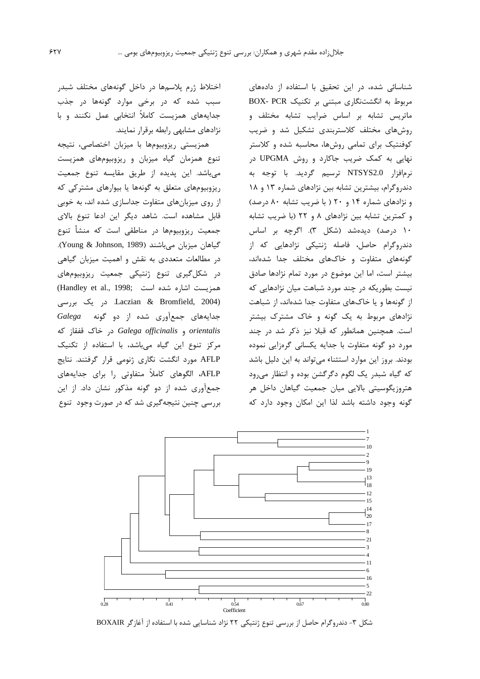شناسائی شده، در این تحقیق با استفاده از دادههای مربوط به انگشتنگاری مبتنی بر تکنیک BOX- PCR ماتریس تشابه بر اساس ضرایب تشابه مختلف و روش های مختلف کلاستربندی تشکیل شد و ضریب کوفنتیک برای تمامی روشها، محاسبه شده و کلاستر نهایی به کمک ضریب جاکارد و روش UPGMA در نرمافزار NTSYS2.0 ترسيم گرديد. با توجه به دندروگرام، بیشترین تشابه بین نژادهای شماره ۱۳ و ۱۸ و نژادهای شماره ۱۴ و ۲۰ ( با ضریب تشابه ۸۰ درصد) و کمترین تشابه بین نژادهای ۸ و ۲۲ (با ضریب تشابه ۱۰ درصد) دیدهشد (شکل ۳). اگرچه بر اساس دندروگرام حاصل، فاصله ژنتیکی نژادهایی که از گونههای متفاوت و خاکهای مختلف جدا شدهاند، بیشتر است، اما این موضوع در مورد تمام نژادها صادق نیست بطوریکه در چند مورد شباهت میان نژادهایی که از گونهها و یا خاکهای متفاوت جدا شدهاند، از شباهت نژادهای مربوط به یک گونه و خاک مشترک بیشتر است. همچنین همانطور که قبلا نیز ذکر شد در چند مورد دو گونه متفاوت با جدایه یکسانی گرهزایی نموده بودند. بروز این موارد استثناء می تواند به این دلیل باشد که گیاه شبدر یک لگوم دگرگشن بوده و انتظار میرود هتروزیگوسیتی بالایی میان جمعیت گیاهان داخل هر گونه وجود داشته باشد لذا این امکان وجود دارد که

اختلاط ژرم پلاسمها در داخل گونههای مختلف شبدر سبب شده که در برخی موارد گونهها در جذب جدایههای همزیست کاملاً انتخابی عمل نکنند و با نژادهای مشابهی رابطه برقرار نمایند.

همزیستی ریزوبیومها با میزبان اختصاصی، نتیجه تنوع همزمان گیاه میزبان و ریزوبیومهای همزیست می باشد. این پدیده از طریق مقایسه تنوع جمعیت ریزوبیومهای متعلق به گونهها یا بیوارهای مشترکی که از روی میزبانهای متفاوت جداسازی شده اند، به خوبی قابل مشاهده است. شاهد دیگر این ادعا تنوع بالای جمعیت ریزوبیومها در مناطقی است که منشأ تنوع گیاهان میزبان می باشند (Young & Johnson, 1989). در مطالعات متعددی به نقش و اهمیت میزبان گیاهی در شکل گیری تنوع ژنتیکی جمعیت ریزوبیومهای همزيست اشاره شده است .(Handley et al., 1998 Laczian & Bromfield, 2004) در یک بررسی جدایههای جمعآوری شده از دو گونه Galega orientalis و Galega officinalis در خاک قفقاز که مرکز تنوع این گیاه میباشد، با استفاده از تکنیک AFLP مورد انگشت نگاری ژنومی قرار گرفتند. نتایج AFLP، الگوهای کاملاً متفاوتی را برای جدایههای جمعآوری شده از دو گونه مذکور نشان داد. از این بررسی چنین نتیجهگیری شد که در صورت وجود تنوع



شکل ۳- دندروگرام حاصل از بررسی تنوع ژنتیکی ۲۲ نژاد شناسایی شده با استفاده از آغازگر BOXAIR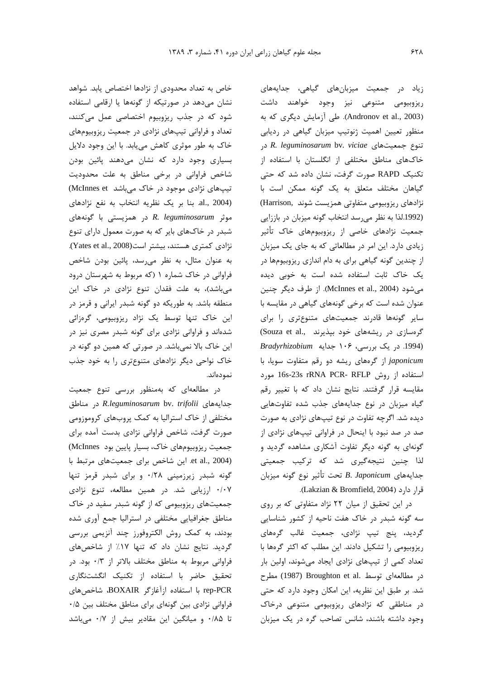خاص به تعداد محدودی از نژادها اختصاص یابد. شواهد نشان می دهد در صورتیکه از گونهها یا ارقامی استفاده شود که در جذب ریزوبیوم اختصاصی عمل میکنند، تعداد و فراوانی تیپهای نژادی در جمعیت ریزوبیومهای خاک به طور موثری کاهش می بابد. با این وجود دلایل بسیاری وجود دارد که نشان میدهند یائین بودن شاخص فراوانی در برخی مناطق به علت محدودیت تیپهای نژادی موجود در خاک میباشد McInnes et) al., 2004). بنا بر یک نظریه انتخاب به نفع نژادهای موثر R. leguminosarum در همزیستی با گونههای شبدر در خاکهای بایر که به صورت معمول دارای تنوع نژادی کمتری هستند، بیشتر است(Yates et al., 2008). به عنوان مثال، به نظر می رسد، پائین بودن شاخص فراوانی در خاک شماره ۱ (که مربوط به شهرستان درود میباشد)، به علت فقدان تنوع نژادی در خاک این منطقه باشد. به طوریکه دو گونه شبدر ایرانی و قرمز در این خاک تنها توسط یک نژاد ریزوبیومی، گرهزائی شدهاند و فراوانی نژادی برای گونه شبدر مصری نیز در این خاک بالا نمیباشد. در صورتی که همین دو گونه در خاک نواحی دیگر نژادهای متنوعتری را به خود جذب نمودەاند.

در مطالعهای که بهمنظور بررسی تنوع جمعیت جدایههای R.leguminosarum bv. trifolii در مناطق مختلفی از خاک استرالیا به کمک پروبهای کروموزومی صورت گرفت، شاخص فراوانی نژادی بدست آمده برای جمعیت ریزوبیومهای خاک، بسیار پایین بود McInnes) et al., 2004). این شاخص برای جمعیتهای مرتبط با گونه شبدر زیرزمینی ۰/۲۸ و برای شبدر قرمز تنها ۰/۰۷ ارزیابی شد. در همین مطالعه، تنوع نژادی جمعیتهای ریزوبیومی که از گونه شبدر سفید در خاک مناطق جغرافیایی مختلفی در استرالیا جمع آوری شده بودند، به کمک روش الکتروفورز چند آنزیمی بررسی گردید. نتایج نشان داد که تنها ۱۷٪ از شاخصهای فراوانی مربوط به مناطق مختلف بالاتر از ۰/۳ بود. در تحقیق حاضر با استفاده از تکنیک انگشتنگاری rep-PCR با استفاده ازآغازگر BOXAIR، شاخص های فراوانی نژادی بین گونهای برای مناطق مختلف بین ۰/۵ تا ۰/۸۵ و میانگین این مقادیر بیش از ۰/۷ میباشد

زیاد در جمعیت میزبانهای گیاهی، جدایههای ریزوبیومی متنوعی نیز وجود خواهند داشت (Andronov et al., 2003). طی آزمایش دیگری که به منظور تعیین اهمیت ژنوتیپ میزبان گیاهی در ردیابی ciae در R. leguminosarum bv. viciae در خاکهای مناطق مختلفی از انگلستان با استفاده از تکنیک RAPD صورت گرفت، نشان داده شد که حتی گیاهان مختلف متعلق به یک گونه ممکن است با نژادهای ریزوبیومی متفاوتی همزیست شوند .Harrison) (1992.لذا به نظر می رسد انتخاب گونه میزبان در باززایی جمعیت نژادهای خاصی از ریزوبیومهای خاک تأثیر زیادی دارد. این امر در مطالعاتی که به جای یک میزبان از چندین گونه گیاهی برای به دام اندازی ریزوبیومها در یک خاک ثابت استفاده شده است به خوبی دیده می شود (McInnes et al., 2004). از طرف دیگر چنین عنوان شده است که برخی گونههای گیاهی در مقایسه با سایر گونهها قادرند جمعیتهای متنوعتری را برای گرهسازی در ریشههای خود بپذیرند .Souza et al., (1994. در یک بررسی، ۱۰۶ جدایه Bradyrhizobium japonicum از گرههای ریشه دو رقم متفاوت سویا، با استفاده از روش 16s-23s rRNA PCR- RFLP مورد مقایسه قرار گرفتند. نتایج نشان داد که با تغییر رقم گیاه میزبان در نوع جدایههای جذب شده تفاوتهایی دیده شد. اگرچه تفاوت در نوع تیپهای نژادی به صورت صد در صد نبود با اینحال در فراوانی تیپهای نژادی از گونهای به گونه دیگر تفاوت آشکاری مشاهده گردید و لذا چنین نتیجهگیری شد که ترکیب جمعیتی جدايههاي B. Japonicum تحت تأثير نوع گونه ميزبان قرار دارد (Lakzian & Bromfield, 2004).

در این تحقیق از میان ٢٢ نژاد متفاوتی که بر روی سه گونه شبدر در خاک هفت ناحیه از کشور شناسایی گردید، پنج تیپ نژادی، جمعیت غالب گرههای ریزوبیومی را تشکیل دادند. این مطلب که اکثر گرمها با تعداد کمی از تیپهای نژادی ایجاد میشوند، اولین بار در مطالعهای توسط .Broughton et al مطرح شد. بر طبق این نظریه، این امکان وجود دارد که حتی در مناطقی که نژادهای ریزوبیومی متنوعی درخاک وجود داشته باشند، شانس تصاحب گره در یک میزبان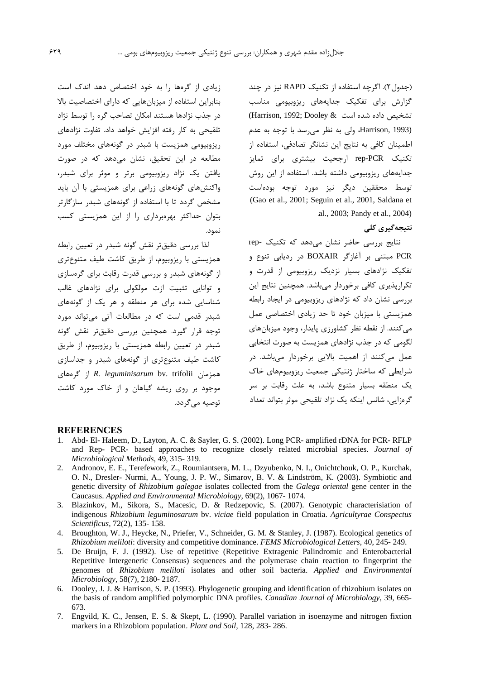(جدول ٢). اگرچه استفاده از تكنيك RAPD نيز در چند گزارش برای تفکیک جدایههای ریزوبیومی مناسب تشخيص داده شده است & Harrison, 1992; Dooley) Harrison, 1993)، ولي به نظر مي رسد با توجه به عدم اطمینان کافی به نتایج این نشانگر تصادفی، استفاده از تکنیک rep-PCR ارجحیت بیشتری برای تمایز جدایههای ریزوبیومی داشته باشد. استفاده از این روش توسط محققین دیگر نیز مورد توجه بودهاست (Gao et al., 2001; Seguin et al., 2001, Saldana et .al., 2003; Pandy et al., 2004)

## نتیجەگیرى كلى

نتایج بررسی حاضر نشان می دهد که تکنیک -rep PCR مبتنی بر آغازگر BOXAIR در ردیابی تنوع و تفکیک نژادهای بسیار نزدیک ریزوبیومی از قدرت و تكرارپذيري كافي برخوردار مىباشد. همچنين نتايج اين بررسی نشان داد که نژادهای ریزوبیومی در ایجاد رابطه همزیستی با میزبان خود تا حد زیادی اختصاصی عمل می کنند. از نقطه نظر کشاورزی پایدار، وجود میزبانهای لگومی که در جذب نژادهای همزیست به صورت انتخابی عمل میکنند از اهمیت بالایی برخوردار میباشد. در شرایطی که ساختار ژنتیکی جمعیت ریزوبیومهای خاک یک منطقه بسیار متنوع باشد، به علت رقابت بر سر گرەزايى، شانس اينكە يک نژاد تلقيحى موثر بتواند تعداد

زیادی از گرمها را به خود اختصاص دهد اندک است بنابراین استفاده از میزبانهایی که دارای اختصاصیت بالا در جذب نژادها هستند امکان تصاحب گره را توسط نژاد تلقیحی به کار رفته افزایش خواهد داد. تفاوت نژادهای ریزوبیومی همزیست با شبدر در گونههای مختلف مورد مطالعه در این تحقیق، نشان میدهد که در صورت یافتن یک نژاد ریزوبیومی برتر و موثر برای شبدر، واکنش های گونههای زراعی برای همزیستی با آن باید مشخص گردد تا با استفاده از گونههای شبدر سازگارتر بتوان حداکثر بهرهبرداری را از این همزیستی کسب نمود.

لذا بررسی دقیقتر نقش گونه شبدر در تعیین رابطه همزیستی با ریزوبیوم، از طریق کاشت طیف متنوعتری از گونههای شبدر و بررسی قدرت رقابت برای گرمسازی و توانایی تثبیت ازت مولکولی برای نژادهای غالب شناسایی شده برای هر منطقه و هر یک از گونههای شبدر قدمی است که در مطالعات آتی می تواند مورد توجه قرار گیرد. همچنین بررسی دقیقتر نقش گونه شبدر در تعیین رابطه همزیستی با ریزوبیوم، از طریق کاشت طیف متنوعتری از گونههای شبدر و جداسازی همزمان R. leguminisarum bv. trifolii أز گرەهای موجود بر روی ریشه گیاهان و از خاک مورد کاشت توصيه مي گردد.

#### **REFERENCES**

- 1. Abd- El- Haleem, D., Layton, A. C. & Sayler, G. S. (2002). Long PCR- amplified rDNA for PCR- RFLP and Rep- PCR- based approaches to recognize closely related microbial species. Journal of Microbiological Methods, 49, 315-319.
- 2. Andronov, E. E., Terefework, Z., Roumiantsera, M. L., Dzyubenko, N. I., Onichtchouk, O. P., Kurchak, O. N., Dresler- Nurmi, A., Young, J. P. W., Simarov, B. V. & Lindström, K. (2003). Symbiotic and genetic diversity of Rhizobium galegae isolates collected from the Galega oriental gene center in the Caucasus. Applied and Environmental Microbiology, 69(2), 1067-1074.
- 3. Blazinkov, M., Sikora, S., Macesic, D. & Redzepovic, S. (2007). Genotypic characterisiation of indigenous Rhizobium leguminosarum bv. viciae field population in Croatia. Agricultyrae Conspectus Scientificus, 72(2), 135-158.
- 4. Broughton, W. J., Heycke, N., Priefer, V., Schneider, G. M. & Stanley, J. (1987). Ecological genetics of Rhizobium meliloti: diversity and competitive dominance. FEMS Microbiological Letters, 40, 245-249.
- 5. De Bruijn, F. J. (1992). Use of repetitive (Repetitive Extragenic Palindromic and Enterobacterial Repetitive Intergeneric Consensus) sequences and the polymerase chain reaction to fingerprint the genomes of Rhizobium meliloti isolates and other soil bacteria. Applied and Environmental Microbiology, 58(7), 2180-2187.
- 6. Dooley, J. J. & Harrison, S. P. (1993). Phylogenetic grouping and identification of rhizobium isolates on the basis of random amplified polymorphic DNA profiles. Canadian Journal of Microbiology, 39, 665-673.
- 7. Engvild, K. C., Jensen, E. S. & Skept, L. (1990). Parallel variation in isoenzyme and nitrogen fixtion markers in a Rhizobiom population. Plant and Soil, 128, 283-286.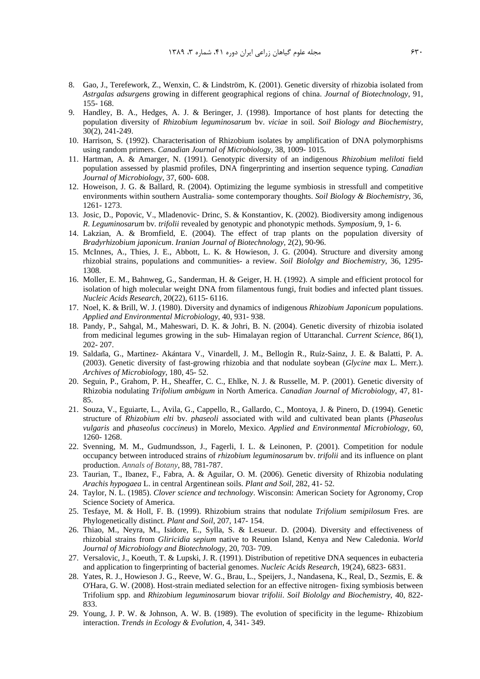- 8. Gao, J., Terefework, Z., Wenxin, C. & Lindström, K. (2001). Genetic diversity of rhizobia isolated from *Astrgalas adsurgens* growing in different geographical regions of china. *Journal of Biotechnology*, 91, 155- 168.
- 9. Handley, B. A., Hedges, A. J. & Beringer, J. (1998). Importance of host plants for detecting the population diversity of *Rhizobium leguminosarum* bv. *viciae* in soil. *Soil Biology and Biochemistry*, 30(2), 241-249.
- 10. Harrison, S. (1992). Characterisation of Rhizobium isolates by amplification of DNA polymorphisms using random primers. *Canadian Journal of Microbiology*, 38, 1009- 1015.
- 11. Hartman, A. & Amarger, N. (1991). Genotypic diversity of an indigenous *Rhizobium meliloti* field population assessed by plasmid profiles, DNA fingerprinting and insertion sequence typing. *Canadian Journal of Microbiology*, 37, 600- 608.
- 12. Howeison, J. G. & Ballard, R. (2004). Optimizing the legume symbiosis in stressfull and competitive environments within southern Australia- some contemporary thoughts. *Soil Biology & Biochemistry*, 36, 1261- 1273.
- 13. Josic, D., Popovic, V., Mladenovic- Drinc, S. & Konstantiov, K. (2002). Biodiversity among indigenous *R*. *Leguminosarum* bv*. trifolii* revealed by genotypic and phonotypic methods. *Symposium*, 9, 1- 6.
- 14. Lakzian, A. & Bromfield, E. (2004). The effect of trap plants on the population diversity of *Bradyrhizobium japonicum*. *Iranian Journal of Biotechnology*, 2(2), 90-96.
- 15. McInnes, A., Thies, J. E., Abbott, L. K. & Howieson, J. G. (2004). Structure and diversity among rhizobial strains, populations and communities- a review. *Soil Biololgy and Biochemistry*, 36, 1295- 1308.
- 16. Moller, E. M., Bahnweg, G., Sanderman, H. & Geiger, H. H. (1992). A simple and efficient protocol for isolation of high molecular weight DNA from filamentous fungi, fruit bodies and infected plant tissues. *Nucleic Acids Research*, 20(22), 6115- 6116.
- 17. Noel, K. & Brill, W. J. (1980). Diversity and dynamics of indigenous *Rhizobium Japonicum* populations. *Applied and Environmental Microbiology*, 40, 931- 938.
- 18. Pandy, P., Sahgal, M., Maheswari, D. K. & Johri, B. N. (2004). Genetic diversity of rhizobia isolated from medicinal legumes growing in the sub- Himalayan region of Uttaranchal. *Current Science*, 86(1), 202- 207. 18. Pandy, P., Sahgal, M., Maheswari, D. K. & Johri, B. N. (2004). Genetic diversity of rhizobia isolated<br>19. Saldana, G., Martinez- Akántara V., Vinardell, J. M., Bellogin R., Ruiz-Sainz, J. E. & Balatti, P. A.<br>19. Saldañ
- (2003). Genetic diversity of fast-growing rhizobia and that nodulate soybean (*Glycine max* L. Merr.). *Archives of Microbiology*, 180, 45- 52.
- 20. Seguin, P., Grahom, P. H., Sheaffer, C. C., Ehlke, N. J. & Russelle, M. P. (2001). Genetic diversity of Rhizobia nodulating *Trifolium ambigum* in North America. *Canadian Journal of Microbiology*, 47, 81- 85.
- 21. Souza, V., Eguiarte, L., Avila, G., Cappello, R., Gallardo, C., Montoya, J. & Pinero, D. (1994). Genetic structure of *Rhizobium elti* bv. *phaseoli* associated with wild and cultivated bean plants (*Phaseolus vulgaris* and *phaseolus coccineus*) in Morelo, Mexico. *Applied and Environmental Microbiology*, 60, 1260- 1268.
- 22. Svenning, M. M., Gudmundsson, J., Fagerli, I. L. & Leinonen, P. (2001). Competition for nodule occupancy between introduced strains of *rhizobium leguminosarum* bv. *trifolii* and its influence on plant production. *Annals of Botany*, 88, 781-787.
- 23. Taurian, T., Ibanez, F., Fabra, A. & Aguilar, O. M. (2006). Genetic diversity of Rhizobia nodulating *Arachis hypogaea* L. in central Argentinean soils. *Plant and Soil*, 282, 41- 52.
- 24. Taylor, N. L. (1985). *Clover science and technology*. Wisconsin: American Society for Agronomy, Crop Science Society of America.
- 25. Tesfaye, M. & Holl, F. B. (1999). Rhizobium strains that nodulate *Trifolium semipilosum* Fres. are Phylogenetically distinct. *Plant and Soil*, 207, 147- 154.
- 26. Thiao, M., Neyra, M., Isidore, E., Sylla, S. & Lesueur. D. (2004). Diversity and effectiveness of rhizobial strains from *Gliricidia sepium* native to Reunion Island, Kenya and New Caledonia. *World Journal of Microbiology and Biotechnology*, 20, 703- 709.
- 27. Versalovic, J., Koeuth, T. & Lupski, J. R. (1991). Distribution of repetitive DNA sequences in eubacteria and application to fingerprinting of bacterial genomes. *Nucleic Acids Research*, 19(24), 6823- 6831.
- 28. Yates, R. J., Howieson J. G., Reeve, W. G., Brau, L., Speijers, J., Nandasena, K., Real, D., Sezmis, E. & O'Hara, G. W. (2008). Host-strain mediated selection for an effective nitrogen- fixing symbiosis between Trifolium spp. and *Rhizobium leguminosarum* biovar *trifolii*. *Soil Biololgy and Biochemistry*, 40, 822- 833.
- 29. Young, J. P. W. & Johnson, A. W. B. (1989). The evolution of specificity in the legume- Rhizobium interaction. *Trends in Ecology & Evolution*, 4, 341- 349.